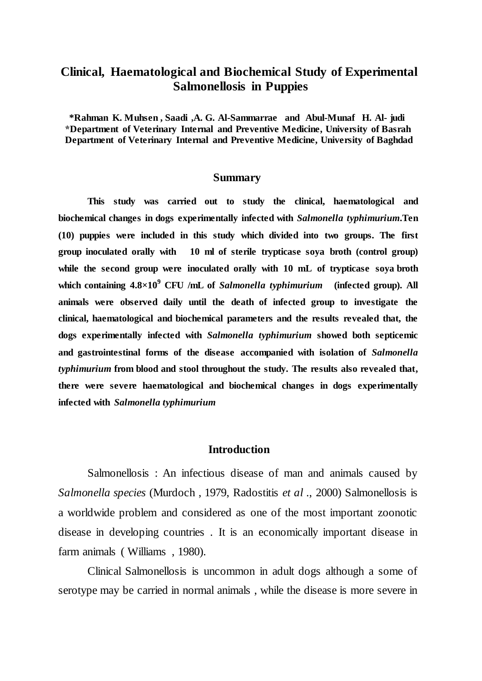### **Clinical, Haematological and Biochemical Study of Experimental Salmonellosis in Puppies**

**\*Rahman K. Muhsen , Saadi ,A. G. Al-Sammarrae and Abul-Munaf H. Al- judi \*Department of Veterinary Internal and Preventive Medicine, University of Basrah Department of Veterinary Internal and Preventive Medicine, University of Baghdad**

#### **Summary**

**This study was carried out to study the clinical, haematological and biochemical changes in dogs experimentally infected with** *Salmonella typhimurium***.Ten (10) puppies were included in this study which divided into two groups. The first group inoculated orally with 10 ml of sterile trypticase soya broth (control group) while the second group were inoculated orally with 10 mL of trypticase soya broth which containing 4.8×10<sup>9</sup> CFU /mL of** *Salmonella typhimurium* **(infected group). All animals were observed daily until the death of infected group to investigate the clinical, haematological and biochemical parameters and the results revealed that, the dogs experimentally infected with** *Salmonella typhimurium* **showed both septicemic and gastrointestinal forms of the disease accompanied with isolation of** *Salmonella typhimurium* **from blood and stool throughout the study. The results also revealed that, there were severe haematological and biochemical changes in dogs experimentally infected with** *Salmonella typhimurium*

#### **Introduction**

Salmonellosis : An infectious disease of man and animals caused by *Salmonella species* (Murdoch , 1979, Radostitis *et al* ., 2000) Salmonellosis is a worldwide problem and considered as one of the most important zoonotic disease in developing countries . It is an economically important disease in farm animals ( Williams , 1980).

Clinical Salmonellosis is uncommon in adult dogs although a some of serotype may be carried in normal animals , while the disease is more severe in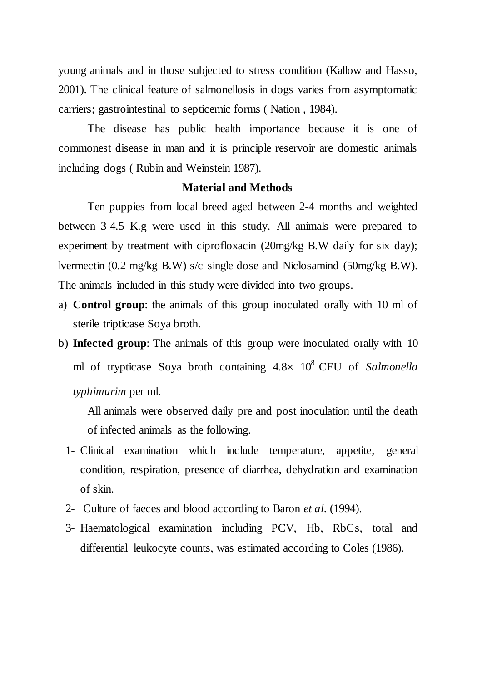young animals and in those subjected to stress condition (Kallow and Hasso, 2001). The clinical feature of salmonellosis in dogs varies from asymptomatic carriers; gastrointestinal to septicemic forms ( Nation , 1984).

The disease has public health importance because it is one of commonest disease in man and it is principle reservoir are domestic animals including dogs ( Rubin and Weinstein 1987).

### **Material and Methods**

Ten puppies from local breed aged between 2-4 months and weighted between 3-4.5 K.g were used in this study. All animals were prepared to experiment by treatment with ciprofloxacin (20mg/kg B.W daily for six day); lvermectin (0.2 mg/kg B.W) s/c single dose and Niclosamind (50mg/kg B.W). The animals included in this study were divided into two groups.

- a) **Control group**: the animals of this group inoculated orally with 10 ml of sterile tripticase Soya broth.
- b) **Infected group**: The animals of this group were inoculated orally with 10 ml of trypticase Soya broth containing  $4.8 \times 10^8$  CFU of *Salmonella typhimurim* per ml.

All animals were observed daily pre and post inoculation until the death of infected animals as the following.

- 1- Clinical examination which include temperature, appetite, general condition, respiration, presence of diarrhea, dehydration and examination of skin.
- 2- Culture of faeces and blood according to Baron *et al*. (1994).
- 3- Haematological examination including PCV, Hb, RbCs, total and differential leukocyte counts, was estimated according to Coles (1986).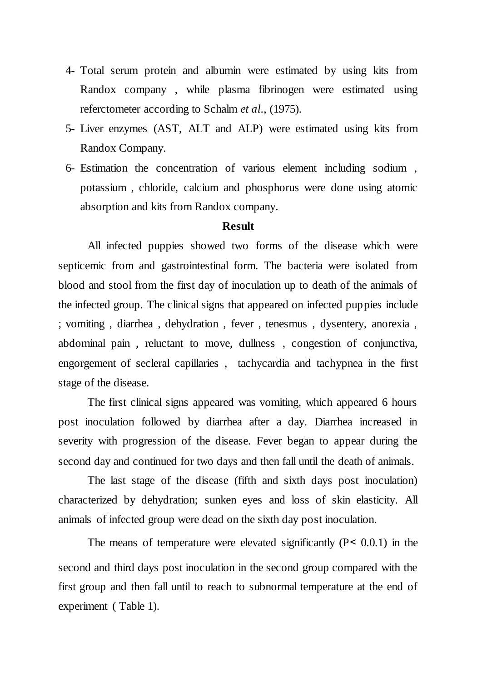- 4- Total serum protein and albumin were estimated by using kits from Randox company , while plasma fibrinogen were estimated using referctometer according to Schalm *et al*., (1975).
- 5- Liver enzymes (AST, ALT and ALP) were estimated using kits from Randox Company.
- 6- Estimation the concentration of various element including sodium , potassium , chloride, calcium and phosphorus were done using atomic absorption and kits from Randox company.

### **Result**

All infected puppies showed two forms of the disease which were septicemic from and gastrointestinal form. The bacteria were isolated from blood and stool from the first day of inoculation up to death of the animals of the infected group. The clinical signs that appeared on infected puppies include ; vomiting , diarrhea , dehydration , fever , tenesmus , dysentery, anorexia , abdominal pain , reluctant to move, dullness , congestion of conjunctiva, engorgement of secleral capillaries , tachycardia and tachypnea in the first stage of the disease.

The first clinical signs appeared was vomiting, which appeared 6 hours post inoculation followed by diarrhea after a day. Diarrhea increased in severity with progression of the disease. Fever began to appear during the second day and continued for two days and then fall until the death of animals.

The last stage of the disease (fifth and sixth days post inoculation) characterized by dehydration; sunken eyes and loss of skin elasticity. All animals of infected group were dead on the sixth day post inoculation.

The means of temperature were elevated significantly  $(P < 0.0.1)$  in the second and third days post inoculation in the second group compared with the first group and then fall until to reach to subnormal temperature at the end of experiment ( Table 1).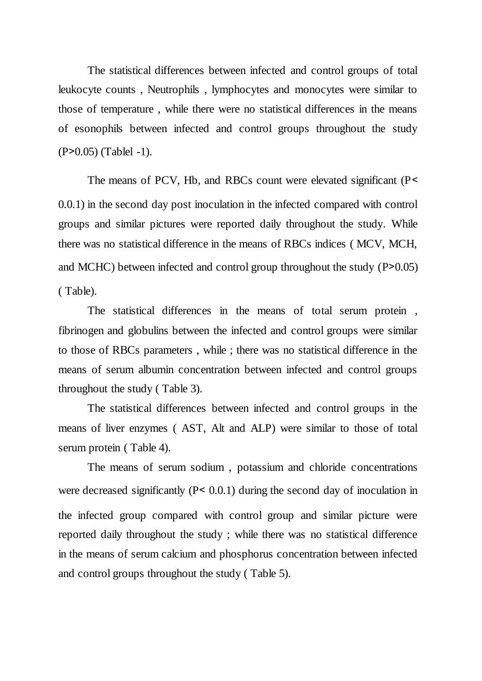The statistical differences between infected and control groups of total leukocyte counts , Neutrophils , lymphocytes and monocytes were similar to those of temperature , while there were no statistical differences in the means of esonophils between infected and control groups throughout the study  $(P > 0.05)$  (Tablel -1).

The means of PCV, Hb, and RBCs count were elevated significant (P< 0.0.1) in the second day post inoculation in the infected compared with control groups and similar pictures were reported daily throughout the study. While there was no statistical difference in the means of RBCs indices ( MCV, MCH, and MCHC) between infected and control group throughout the study  $(P>0.05)$ ( Table).

The statistical differences in the means of total serum protein , fibrinogen and globulins between the infected and control groups were similar to those of RBCs parameters , while ; there was no statistical difference in the means of serum albumin concentration between infected and control groups throughout the study ( Table 3).

The statistical differences between infected and control groups in the means of liver enzymes ( AST, Alt and ALP) were similar to those of total serum protein ( Table 4).

The means of serum sodium , potassium and chloride concentrations were decreased significantly  $(P < 0.0.1)$  during the second day of inoculation in the infected group compared with control group and similar picture were reported daily throughout the study ; while there was no statistical difference in the means of serum calcium and phosphorus concentration between infected and control groups throughout the study ( Table 5).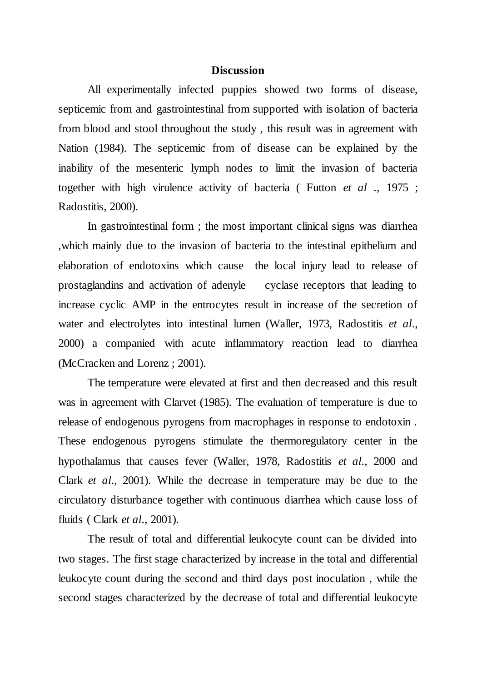#### **Discussion**

All experimentally infected puppies showed two forms of disease, septicemic from and gastrointestinal from supported with isolation of bacteria from blood and stool throughout the study , this result was in agreement with Nation (1984). The septicemic from of disease can be explained by the inability of the mesenteric lymph nodes to limit the invasion of bacteria together with high virulence activity of bacteria ( Futton *et al* ., 1975 ; Radostitis, 2000).

In gastrointestinal form ; the most important clinical signs was diarrhea ,which mainly due to the invasion of bacteria to the intestinal epithelium and elaboration of endotoxins which cause the local injury lead to release of prostaglandins and activation of adenyle cyclase receptors that leading to increase cyclic AMP in the entrocytes result in increase of the secretion of water and electrolytes into intestinal lumen (Waller, 1973, Radostitis *et al*., 2000) a companied with acute inflammatory reaction lead to diarrhea (McCracken and Lorenz ; 2001).

The temperature were elevated at first and then decreased and this result was in agreement with Clarvet (1985). The evaluation of temperature is due to release of endogenous pyrogens from macrophages in response to endotoxin . These endogenous pyrogens stimulate the thermoregulatory center in the hypothalamus that causes fever (Waller, 1978, Radostitis *et al*., 2000 and Clark *et al*., 2001). While the decrease in temperature may be due to the circulatory disturbance together with continuous diarrhea which cause loss of fluids ( Clark *et al*., 2001).

The result of total and differential leukocyte count can be divided into two stages. The first stage characterized by increase in the total and differential leukocyte count during the second and third days post inoculation , while the second stages characterized by the decrease of total and differential leukocyte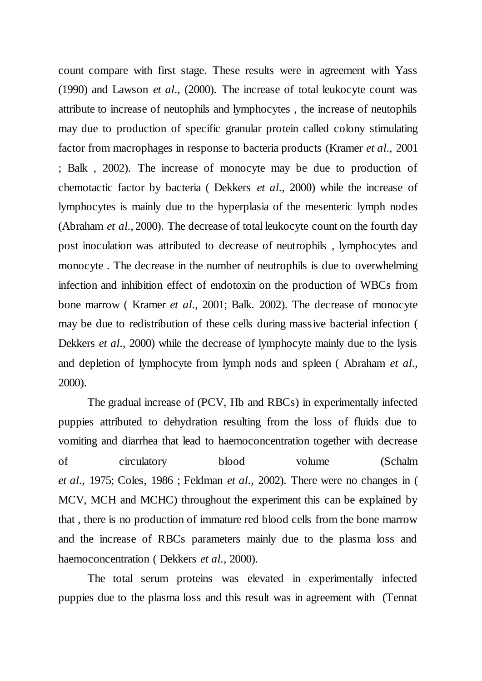count compare with first stage. These results were in agreement with Yass (1990) and Lawson *et al*., (2000). The increase of total leukocyte count was attribute to increase of neutophils and lymphocytes , the increase of neutophils may due to production of specific granular protein called colony stimulating factor from macrophages in response to bacteria products (Kramer *et al*., 2001 ; Balk , 2002). The increase of monocyte may be due to production of chemotactic factor by bacteria ( Dekkers *et al*., 2000) while the increase of lymphocytes is mainly due to the hyperplasia of the mesenteric lymph nodes (Abraham *et al*., 2000). The decrease of total leukocyte count on the fourth day post inoculation was attributed to decrease of neutrophils , lymphocytes and monocyte . The decrease in the number of neutrophils is due to overwhelming infection and inhibition effect of endotoxin on the production of WBCs from bone marrow ( Kramer *et al*., 2001; Balk. 2002). The decrease of monocyte may be due to redistribution of these cells during massive bacterial infection ( Dekkers *et al*., 2000) while the decrease of lymphocyte mainly due to the lysis and depletion of lymphocyte from lymph nods and spleen ( Abraham *et al*., 2000).

The gradual increase of (PCV, Hb and RBCs) in experimentally infected puppies attributed to dehydration resulting from the loss of fluids due to vomiting and diarrhea that lead to haemoconcentration together with decrease of circulatory blood volume (Schalm *et al*., 1975; Coles, 1986 ; Feldman *et al*., 2002). There were no changes in ( MCV, MCH and MCHC) throughout the experiment this can be explained by that , there is no production of immature red blood cells from the bone marrow and the increase of RBCs parameters mainly due to the plasma loss and haemoconcentration ( Dekkers *et al*., 2000).

The total serum proteins was elevated in experimentally infected puppies due to the plasma loss and this result was in agreement with (Tennat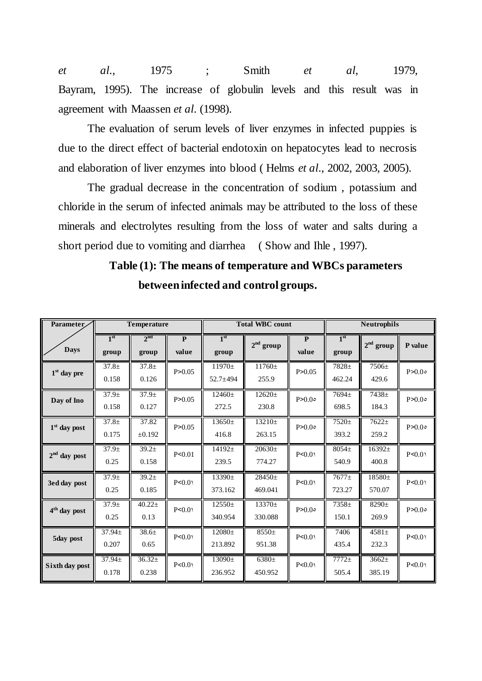*et al*., 1975 ; Smith *et al*, 1979, Bayram, 1995). The increase of globulin levels and this result was in agreement with Maassen *et al*. (1998).

The evaluation of serum levels of liver enzymes in infected puppies is due to the direct effect of bacterial endotoxin on hepatocytes lead to necrosis and elaboration of liver enzymes into blood ( Helms *et al*., 2002, 2003, 2005).

The gradual decrease in the concentration of sodium , potassium and chloride in the serum of infected animals may be attributed to the loss of these minerals and electrolytes resulting from the loss of water and salts during a short period due to vomiting and diarrhea (Show and Ihle, 1997).

| Parameter.               |                           | <b>Temperature</b>       |                                  | <b>Total WBC count</b>   |                       |                                  | <b>Neutrophils</b>         |                     |         |
|--------------------------|---------------------------|--------------------------|----------------------------------|--------------------------|-----------------------|----------------------------------|----------------------------|---------------------|---------|
| <b>Days</b>              | 1 <sup>st</sup><br>group  | 2 <sup>nd</sup><br>group | $\overline{\mathbf{P}}$<br>value | 1 <sup>st</sup><br>group | $2nd$ group           | $\overline{\mathbf{P}}$<br>value | 1 <sup>st</sup><br>group   | $2nd$ group         | P value |
| $1st$ day pre            | $37.8 \pm$<br>0.158       | $37.8 \pm$<br>0.126      | P > 0.05                         | $11970+$<br>$52.7 + 494$ | $11760 \pm$<br>255.9  | P > 0.05                         | $7828+$<br>462.24          | $7506 \pm$<br>429.6 | P>0.0°  |
| Day of Ino               | $37.9 \pm$<br>0.158       | $37.9 \pm$<br>0.127      | P > 0.05                         | $12460 \pm$<br>272.5     | $12620 \pm$<br>230.8  | P>0.0°                           | 7694±<br>698.5             | 7438±<br>184.3      | P>0.0°  |
| $1st$ day post           | $37.8 \pm$<br>0.175       | 37.82<br>±0.192          | P > 0.05                         | $13650 \pm$<br>416.8     | $13210 \pm$<br>263.15 | P>0.0°                           | $7520 \pm$<br>393.2        | $7622+$<br>259.2    | P>0.0°  |
| $2nd$ day post           | 37.9 <sub>±</sub><br>0.25 | $39.2+$<br>0.158         | P < 0.01                         | $14192+$<br>239.5        | $20630 \pm$<br>774.27 | P < 0.01                         | $8054+$<br>540.9           | $16392+$<br>400.8   | P < 0.0 |
| 3ed day post             | $37.9+$<br>0.25           | $39.2+$<br>0.185         | P < 0.0                          | $13390 \pm$<br>373.162   | $28450+$<br>469.041   | P < 0.0                          | $7677+$<br>723.27          | 18580±<br>570.07    | P < 0.0 |
| 4 <sup>th</sup> day post | 37.9 <sub>±</sub><br>0.25 | $40.22 \pm$<br>0.13      | P < 0.01                         | $12550+$<br>340.954      | $13370+$<br>330.088   | P>0.0°                           | 7358 <sup>±</sup><br>150.1 | $8290 \pm$<br>269.9 | P>0.0°  |
| 5day post                | $37.94 \pm$<br>0.207      | $38.6+$<br>0.65          | P < 0.0                          | $12080+$<br>213.892      | $8550+$<br>951.38     | P < 0.0                          | 7406<br>435.4              | $4581 \pm$<br>232.3 | P < 0.0 |
| Sixth day post           | $37.94 \pm$<br>0.178      | $36.32 \pm$<br>0.238     | P < 0.0                          | $13090 \pm$<br>236.952   | $6380 \pm$<br>450.952 | P < 0.0                          | $7772+$<br>505.4           | $3662+$<br>385.19   | P < 0.0 |

**Table (1): The means of temperature and WBCs parameters between infected and control groups.**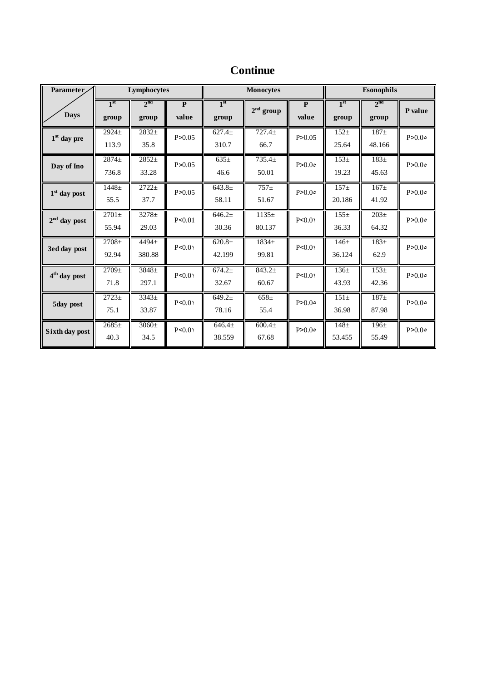| Parameter                |                          | Lymphocytes              |                         | <b>Monocytes</b>         |                             |                                  | Esonophils               |                          |         |
|--------------------------|--------------------------|--------------------------|-------------------------|--------------------------|-----------------------------|----------------------------------|--------------------------|--------------------------|---------|
| <b>Days</b>              | 1 <sup>st</sup><br>group | 2 <sup>nd</sup><br>group | $\overline{P}$<br>value | 1 <sup>st</sup><br>group | $2nd$ group                 | $\overline{\mathbf{P}}$<br>value | 1 <sup>st</sup><br>group | 2 <sup>nd</sup><br>group | P value |
| $1st$ day pre            | $2924+$<br>113.9         | $2832+$<br>35.8          | P > 0.05                | $627.4+$<br>310.7        | $727.4+$<br>66.7            | P > 0.05                         | $152+$<br>25.64          | $187\pm$<br>48.166       | P>0.0°  |
| Day of Ino               | 2874±<br>736.8           | $2852+$<br>33.28         | P > 0.05                | $635\pm$<br>46.6         | $735.4 \pm$<br>50.01        | P>0.0°                           | $153+$<br>19.23          | $183\pm$<br>45.63        | P>0.0°  |
| $1st$ day post           | $1448 +$<br>55.5         | $2722+$<br>37.7          | P>0.05                  | $643.8+$<br>58.11        | $757+$<br>51.67             | P>0.0°                           | $157 +$<br>20.186        | $167\pm$<br>41.92        | P>0.0°  |
| $2nd$ day post           | $2701 \pm$<br>55.94      | $3278 \pm$<br>29.03      | P < 0.01                | $646.2+$<br>30.36        | $1135+$<br>80.137           | $P \le 0.01$                     | $155+$<br>36.33          | $203\pm$<br>64.32        | P>0.0°  |
| 3ed day post             | $2708 +$<br>92.94        | 4494±<br>380.88          | P < 0.01                | $620.8\pm$<br>42.199     | 1834±<br>99.81              | $P \le 0.01$                     | $146\pm$<br>36.124       | $183\pm$<br>62.9         | P > 0.0 |
| 4 <sup>th</sup> day post | $2709 \pm$<br>71.8       | $3848 \pm$<br>297.1      | P < 0.01                | 674.2±<br>32.67          | 843.2 <sub>±</sub><br>60.67 | P < 0.01                         | 136±<br>43.93            | $153+$<br>42.36          | P > 0.0 |
| 5day post                | $2723+$<br>75.1          | 3343±<br>33.87           | P < 0.01                | $649.2+$<br>78.16        | $658\pm$<br>55.4            | P>0.0°                           | $151\pm$<br>36.98        | $187\pm$<br>87.98        | P>0.0°  |
| Sixth day post           | $2685+$<br>40.3          | $3060 \pm$<br>34.5       | P < 0.01                | $646.4+$<br>38.559       | 600.4 <sub>±</sub><br>67.68 | P > 0.0                          | $148 +$<br>53.455        | $196+$<br>55.49          | P>0.0°  |

# **Continue**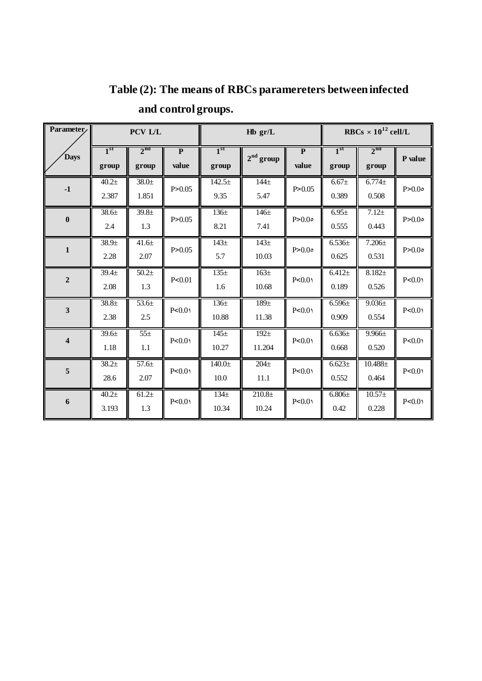| Parameter               | PCV L/L         |                 |                |                 | $Hb$ gr/L        |                         | RBCs $\times 10^{12}$ cell/L |                 |         |
|-------------------------|-----------------|-----------------|----------------|-----------------|------------------|-------------------------|------------------------------|-----------------|---------|
| <b>Days</b>             | 1 <sup>st</sup> | 2 <sup>nd</sup> | $\overline{P}$ | 1 <sup>st</sup> | $2nd$ group      | $\overline{\mathbf{P}}$ | 1 <sup>st</sup>              | 2 <sup>nd</sup> | P value |
|                         | group           | group           | value          | group           |                  | value                   | group                        | group           |         |
| $-1$                    | $40.2 +$        | $38.0 +$        | P > 0.05       | $142.5+$        | $144\pm$         | P > 0.05                | $6.67 +$                     | $6.774 +$       | P > 0.0 |
|                         | 2.387           | 1.851           |                | 9.35            | 5.47             |                         | 0.389                        | 0.508           |         |
| $\bf{0}$                | $38.6 +$        | $39.8 +$        | P > 0.05       | $136\pm$        | $146\pm$         | P > 0.0                 | $6.95 \pm$                   | $7.12 +$        | P > 0.0 |
|                         | 2.4             | 1.3             |                | 8.21            | 7.41             |                         | 0.555                        | 0.443           |         |
| $\mathbf 1$             | $38.9 +$        | $41.6 +$        | P > 0.05       | $143+$          | $143+$           | P > 0.0                 | $6.536 \pm$                  | $7.206 \pm$     | P > 0.0 |
|                         | 2.28            | 2.07            |                | 5.7             | 10.03            |                         | 0.625                        | 0.531           |         |
| $\overline{2}$          | $39.4 \pm$      | $50.2+$         | P < 0.01       | $135+$          | 163 <sup>±</sup> | P < 0.0                 | $6.412 +$                    | $8.182 +$       | P < 0.0 |
|                         | 2.08            | 1.3             |                | 1.6             | 10.68            |                         | 0.189                        | 0.526           |         |
| $\overline{\mathbf{3}}$ | $38.8 +$        | $53.6 +$        | P < 0.0        | $136 +$         | 189 <sub>±</sub> | P < 0.0                 | $6.596 \pm$                  | $9.036 \pm$     | P < 0.0 |
|                         | 2.38            | 2.5             |                | 10.88           | 11.38            |                         | 0.909                        | 0.554           |         |
| $\overline{\mathbf{4}}$ | $39.6 +$        | $55\pm$         | P < 0.0        | $145\pm$        | $192 +$          | P < 0.0                 | $6.636 \pm$                  | $9.966 \pm$     | P < 0.0 |
|                         | 1.18            | 1.1             |                | 10.27           | 11.204           |                         | 0.668                        | 0.520           |         |
| 5                       | $38.2+$         | 57.6±           | P < 0.0        | $140.0 +$       | $204 +$          | P < 0.0                 | $6.623 \pm$                  | $10.488\pm$     | P < 0.0 |
|                         | 28.6            | 2.07            |                | 10.0            | 11.1             |                         | 0.552                        | 0.464           |         |
| 6                       | $40.2 +$        | $61.2+$         | P < 0.0        | $134\pm$        | $210.8 +$        | P < 0.0                 | $6.806\pm$                   | $10.57+$        | P<0.0   |
|                         | 3.193           | 1.3             |                | 10.34           | 10.24            |                         | 0.42                         | 0.228           |         |

# **Table (2): The means of RBCs paramereters between infected and control groups.**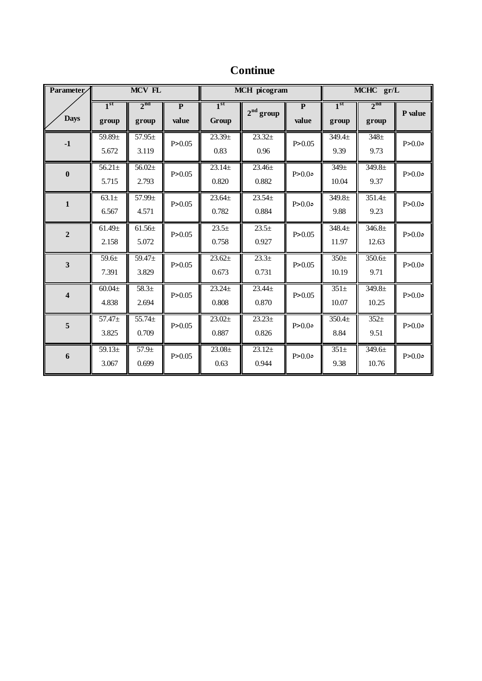| <b>Continue</b> |
|-----------------|
|                 |

| Parameter               |                          | MCV FL                      |                                  | <b>MCH</b> picogram             |                      |                                  | MCHC gr/L                   |                             |         |
|-------------------------|--------------------------|-----------------------------|----------------------------------|---------------------------------|----------------------|----------------------------------|-----------------------------|-----------------------------|---------|
| <b>Days</b>             | 1 <sup>st</sup><br>group | 2 <sup>nd</sup><br>group    | $\overline{\mathbf{P}}$<br>value | 1 <sup>st</sup><br><b>Group</b> | $2nd$ group          | $\overline{\mathbf{P}}$<br>value | 1 <sup>st</sup><br>group    | 2 <sup>nd</sup><br>group    | P value |
| $-1$                    | $59.89 \pm$<br>5.672     | $57.95 \pm$<br>3.119        | P > 0.05                         | 23.39 <sub>±</sub><br>0.83      | $23.32+$<br>0.96     | P > 0.05                         | 349.4 <sub>±</sub><br>9.39  | $\overline{348}$ ±<br>9.73  | P > 0.0 |
| $\bf{0}$                | $56.21 \pm$<br>5.715     | $56.02+$<br>2.793           | P > 0.05                         | $23.14 \pm$<br>0.820            | $23.46 \pm$<br>0.882 | P > 0.0                          | 349 <sub>±</sub><br>10.04   | $349.8 +$<br>9.37           | P > 0.0 |
| $\mathbf{1}$            | $63.1\pm$<br>6.567       | 57.99±<br>4.571             | P > 0.05                         | $23.64+$<br>0.782               | $23.54+$<br>0.884    | P > 0.0                          | $349.8 \pm$<br>9.88         | $351.4+$<br>9.23            | P > 0.0 |
| $\overline{2}$          | $61.49 \pm$<br>2.158     | $61.56 \pm$<br>5.072        | P > 0.05                         | $23.5+$<br>0.758                | $23.5+$<br>0.927     | P > 0.05                         | 348.4 <sub>±</sub><br>11.97 | 346.8 <sub>±</sub><br>12.63 | P > 0.0 |
| $\overline{\mathbf{3}}$ | $59.6+$<br>7.391         | 59.47 <sup>±</sup><br>3.829 | P > 0.05                         | $23.62+$<br>0.673               | $23.3+$<br>0.731     | P > 0.05                         | $350+$<br>10.19             | $350.6 \pm$<br>9.71         | P > 0.0 |
| $\overline{\mathbf{4}}$ | $60.04\pm$<br>4.838      | $58.3+$<br>2.694            | P > 0.05                         | $23.24+$<br>0.808               | $23.44 \pm$<br>0.870 | P > 0.05                         | $351\pm$<br>10.07           | $349.8 +$<br>10.25          | P > 0.0 |
| 5                       | $57.47 \pm$<br>3.825     | $55.74 \pm$<br>0.709        | P > 0.05                         | $23.02+$<br>0.887               | $23.23+$<br>0.826    | P > 0.0                          | $350.4 +$<br>8.84           | $352+$<br>9.51              | P > 0.0 |
| $\boldsymbol{6}$        | $59.13+$<br>3.067        | $57.9 +$<br>0.699           | P > 0.05                         | $23.08+$<br>0.63                | $23.12+$<br>0.944    | P>0.0                            | $351\pm$<br>9.38            | 349.6±<br>10.76             | P > 0.0 |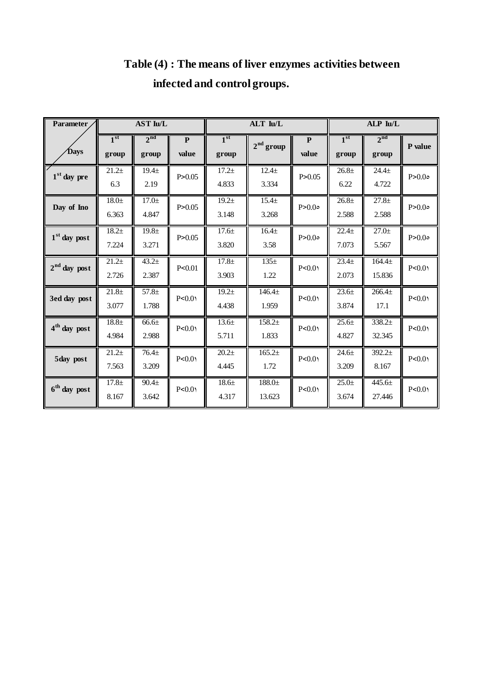| <b>Parameter</b>         | <b>AST Iu/L</b>          |                            |                       | ALT Iu/L                   |                            |                    | ALP Iu/L                 |                          |         |
|--------------------------|--------------------------|----------------------------|-----------------------|----------------------------|----------------------------|--------------------|--------------------------|--------------------------|---------|
| Days                     | 1 <sup>st</sup><br>group | 2 <sup>nd</sup><br>group   | $\mathbf{P}$<br>value | 1 <sup>st</sup><br>group   | $2nd$ group                | ${\bf P}$<br>value | 1 <sup>st</sup><br>group | 2 <sup>nd</sup><br>group | P value |
| $1st$ day pre            | $21.2+$<br>6.3           | $19.4 \pm$<br>2.19         | P > 0.05              | $17.2+$<br>4.833           | $12.4 +$<br>3.334          | P > 0.05           | $26.8 +$<br>6.22         | $24.4 +$<br>4.722        | P > 0.0 |
| Day of Ino               | $18.0 +$<br>6.363        | 17.0 <sub>±</sub><br>4.847 | P > 0.05              | $19.2 +$<br>3.148          | 15.4 <sub>±</sub><br>3.268 | P > 0.0            | $26.8 +$<br>2.588        | $27.8 +$<br>2.588        | P > 0.0 |
| $1st$ day post           | $18.2 +$<br>7.224        | 19.8 <sub>±</sub><br>3.271 | P > 0.05              | $17.6 +$<br>3.820          | $16.4 +$<br>3.58           | P > 0.0            | $22.4+$<br>7.073         | $27.0+$<br>5.567         | P > 0.0 |
| $2nd$ day post           | $21.2+$<br>2.726         | $43.2 +$<br>2.387          | P< 0.01               | $17.8 +$<br>3.903          | $135\pm$<br>1.22           | P < 0.0            | $23.4+$<br>2.073         | $164.4 +$<br>15.836      | P < 0.0 |
| 3ed day post             | $21.8+$<br>3.077         | $57.8+$<br>1.788           | P < 0.0               | $19.2 +$<br>4.438          | $146.4+$<br>1.959          | P < 0.0            | $23.6+$<br>3.874         | $266.4+$<br>17.1         | P < 0.0 |
| 4 <sup>th</sup> day post | $18.8 +$<br>4.984        | 66.6 <sub>±</sub><br>2.988 | P < 0.0               | 13.6±<br>5.711             | $158.2+$<br>1.833          | P < 0.0            | $25.6 \pm$<br>4.827      | $338.2+$<br>32.345       | P < 0.0 |
| 5day post                | $21.2+$<br>7.563         | $76.4 +$<br>3.209          | P < 0.0               | 20.2 <sub>±</sub><br>4.445 | $165.2+$<br>1.72           | P < 0.0            | $24.6 +$<br>3.209        | $392.2+$<br>8.167        | P < 0.0 |
| $6th$ day post           | $17.8 +$<br>8.167        | $90.4 \pm$<br>3.642        | P < 0.0               | 18.6±<br>4.317             | $188.0 +$<br>13.623        | P < 0.0            | $25.0+$<br>3.674         | $445.6 \pm$<br>27.446    | P < 0.0 |

# **Table (4) : The means of liver enzymes activities between infected and control groups.**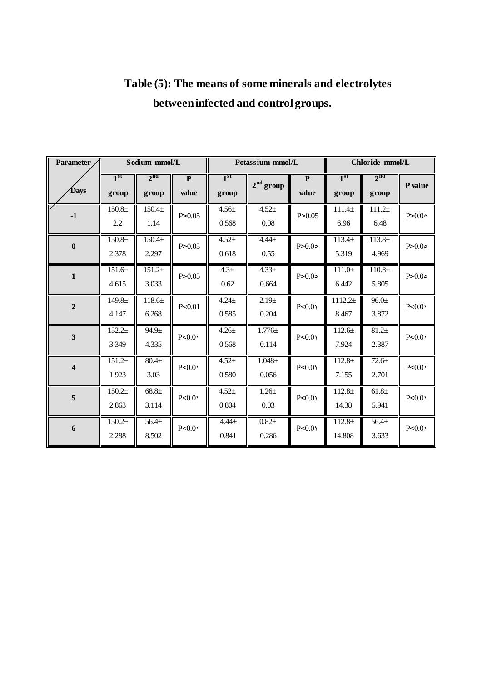| Parameter               | Sodium mmol/L               |                            |                                  | Potassium mmol/L         |                            |                                  | Chloride mmol/L             |                            |         |
|-------------------------|-----------------------------|----------------------------|----------------------------------|--------------------------|----------------------------|----------------------------------|-----------------------------|----------------------------|---------|
| Days                    | 1 <sup>st</sup><br>group    | 2 <sup>nd</sup><br>group   | $\overline{\mathbf{P}}$<br>value | 1 <sup>st</sup><br>group | $2nd$ group                | $\overline{\mathbf{P}}$<br>value | 1 <sup>st</sup><br>group    | 2 <sup>nd</sup><br>group   | P value |
| $-1$                    | 150.8 <sub>±</sub><br>2.2   | $150.4 +$<br>1.14          | P > 0.05                         | $4.56 \pm$<br>0.568      | $4.52 +$<br>$0.08\,$       | P > 0.05                         | $111.4\pm$<br>6.96          | $111.2\pm$<br>6.48         | P > 0.0 |
| $\boldsymbol{0}$        | $150.8 +$<br>2.378          | $150.4 +$<br>2.297         | P > 0.05                         | $4.52 +$<br>0.618        | $4.44 +$<br>0.55           | P > 0.0                          | 113.4 <sub>±</sub><br>5.319 | $113.8 +$<br>4.969         | P > 0.0 |
| $\mathbf{1}$            | 151.6±<br>4.615             | $151.2+$<br>3.033          | P > 0.05                         | 4.3 <sub>±</sub><br>0.62 | $4.33 \pm$<br>0.664        | P > 0.0                          | $111.0+$<br>6.442           | $110.8 +$<br>5.805         | P > 0.0 |
| $\overline{2}$          | $149.8 \pm$<br>4.147        | $118.6\pm$<br>6.268        | P < 0.01                         | $4.24 \pm$<br>0.585      | 2.19 <sub>±</sub><br>0.204 | P < 0.0                          | $1112.2+$<br>8.467          | $96.0 \pm$<br>3.872        | P < 0.0 |
| $\overline{\mathbf{3}}$ | $152.2+$<br>3.349           | $94.9 +$<br>4.335          | P < 0.0                          | $4.26 \pm$<br>0.568      | $1.776 \pm$<br>0.114       | P < 0.0                          | 112.6±<br>7.924             | $81.2+$<br>2.387           | P < 0.0 |
| $\overline{\mathbf{4}}$ | $151.2+$<br>1.923           | $80.4 +$<br>3.03           | P < 0.0                          | $4.52 +$<br>0.580        | $1.048\pm$<br>0.056        | P < 0.0                          | $112.8 \pm$<br>7.155        | $72.6 +$<br>2.701          | P < 0.0 |
| 5                       | 150.2 <sub>±</sub><br>2.863 | 68.8 <sub>±</sub><br>3.114 | P < 0.0                          | $4.52+$<br>0.804         | $1.26\pm$<br>0.03          | P < 0.0                          | $112.8 +$<br>14.38          | 61.8 <sub>±</sub><br>5.941 | P < 0.0 |
| 6                       | $150.2\pm$<br>2.288         | $56.4+$<br>8.502           | P < 0.0                          | $4.44 \pm$<br>0.841      | $0.82\pm$<br>0.286         | P < 0.0                          | $112.8\pm$<br>14.808        | $56.4+$<br>3.633           | P < 0.0 |

# **Table (5): The means of some minerals and electrolytes between infected and control groups.**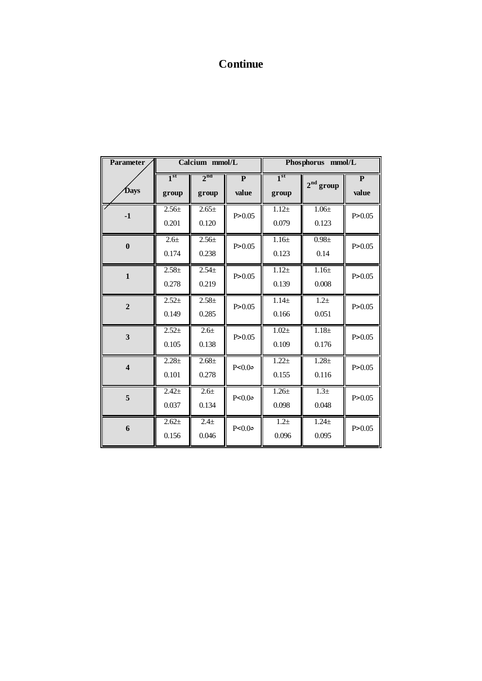## **Continue**

| <b>Parameter</b>        |                          | Calcium mmol/L            |                    | Phosphorus mmol/L        |                           |                       |  |
|-------------------------|--------------------------|---------------------------|--------------------|--------------------------|---------------------------|-----------------------|--|
| Days                    | 1 <sup>st</sup><br>group | $2^{nd}$<br>group         | ${\bf P}$<br>value | 1 <sup>st</sup><br>group | $2nd$ group               | $\mathbf{P}$<br>value |  |
| $-1$                    | $2.56+$<br>0.201         | $2.65+$<br>0.120          | P > 0.05           | $1.12 +$<br>0.079        | $1.06 \pm$<br>0.123       | P > 0.05              |  |
| $\bf{0}$                | $2.6 +$<br>0.174         | $2.56+$<br>0.238          | P > 0.05           | $1.16 +$<br>0.123        | $0.98 +$<br>0.14          | P > 0.05              |  |
| $\mathbf{1}$            | $2.58 +$<br>0.278        | $2.54+$<br>0.219          | P > 0.05           | $1.12 +$<br>0.139        | $1.16 +$<br>0.008         | P > 0.05              |  |
| $\overline{2}$          | $2.52+$<br>0.149         | $2.58 +$<br>0.285         | P > 0.05           | $1.14 +$<br>0.166        | $1.2 +$<br>0.051          | P > 0.05              |  |
| 3                       | $2.52+$<br>0.105         | $2.6 +$<br>0.138          | P > 0.05           | $1.02 +$<br>0.109        | $1.18 +$<br>0.176         | P > 0.05              |  |
| $\overline{\mathbf{4}}$ | $2.28+$<br>0.101         | $2.68 \pm$<br>0.278       | P < 0.0            | $1.22 +$<br>0.155        | $1.28 +$<br>0.116         | P > 0.05              |  |
| 5                       | $2.42+$<br>0.037         | $2.6 +$<br>0.134          | P < 0.0            | $1.26 +$<br>0.098        | 1.3 <sub>±</sub><br>0.048 | P > 0.05              |  |
| 6                       | $2.62+$<br>0.156         | 2.4 <sub>±</sub><br>0.046 | P < 0.0            | $1.2 +$<br>0.096         | $1.24 +$<br>0.095         | P > 0.05              |  |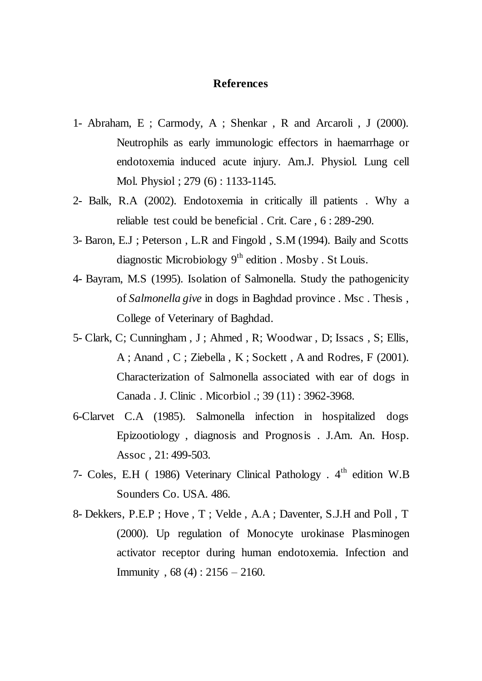### **References**

- 1- Abraham, E ; Carmody, A ; Shenkar , R and Arcaroli , J (2000). Neutrophils as early immunologic effectors in haemarrhage or endotoxemia induced acute injury. Am.J. Physiol. Lung cell Mol. Physiol ; 279 (6) : 1133-1145.
- 2- Balk, R.A (2002). Endotoxemia in critically ill patients . Why a reliable test could be beneficial . Crit. Care , 6 : 289-290.
- 3- Baron, E.J ; Peterson , L.R and Fingold , S.M (1994). Baily and Scotts diagnostic Microbiology  $9<sup>th</sup>$  edition . Mosby . St Louis.
- 4- Bayram, M.S (1995). Isolation of Salmonella. Study the pathogenicity of *Salmonella give* in dogs in Baghdad province . Msc . Thesis , College of Veterinary of Baghdad.
- 5- Clark, C; Cunningham , J ; Ahmed , R; Woodwar , D; Issacs , S; Ellis, A ; Anand , C ; Ziebella , K ; Sockett , A and Rodres, F (2001). Characterization of Salmonella associated with ear of dogs in Canada . J. Clinic . Micorbiol .; 39 (11) : 3962-3968.
- 6-Clarvet C.A (1985). Salmonella infection in hospitalized dogs Epizootiology , diagnosis and Prognosis . J.Am. An. Hosp. Assoc , 21: 499-503.
- 7- Coles, E.H ( 1986) Veterinary Clinical Pathology .  $4<sup>th</sup>$  edition W.B Sounders Co. USA. 486.
- 8- Dekkers, P.E.P ; Hove , T ; Velde , A.A ; Daventer, S.J.H and Poll , T (2000). Up regulation of Monocyte urokinase Plasminogen activator receptor during human endotoxemia. Infection and Immunity , 68 (4) : 2156 – 2160.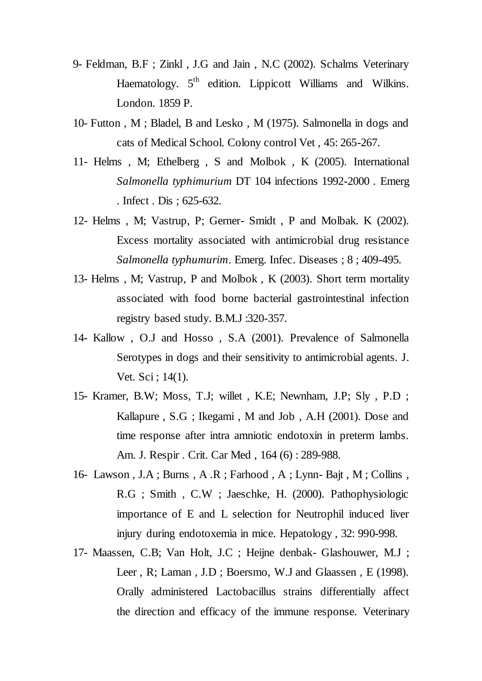- 9- Feldman, B.F ; Zinkl , J.G and Jain , N.C (2002). Schalms Veterinary Haematology.  $5<sup>th</sup>$  edition. Lippicott Williams and Wilkins. London. 1859 P.
- 10- Futton , M ; Bladel, B and Lesko , M (1975). Salmonella in dogs and cats of Medical School. Colony control Vet , 45: 265-267.
- 11- Helms , M; Ethelberg , S and Molbok , K (2005). International *Salmonella typhimurium* DT 104 infections 1992-2000 . Emerg . Infect . Dis ; 625-632.
- 12- Helms , M; Vastrup, P; Gerner- Smidt , P and Molbak. K (2002). Excess mortality associated with antimicrobial drug resistance *Salmonella typhumurim*. Emerg. Infec. Diseases ; 8 ; 409-495.
- 13- Helms , M; Vastrup, P and Molbok , K (2003). Short term mortality associated with food borne bacterial gastrointestinal infection registry based study. B.M.J :320-357.
- 14- Kallow , O.J and Hosso , S.A (2001). Prevalence of Salmonella Serotypes in dogs and their sensitivity to antimicrobial agents. J. Vet. Sci ; 14(1).
- 15- Kramer, B.W; Moss, T.J; willet , K.E; Newnham, J.P; Sly , P.D ; Kallapure , S.G ; Ikegami , M and Job , A.H (2001). Dose and time response after intra amniotic endotoxin in preterm lambs. Am. J. Respir . Crit. Car Med , 164 (6) : 289-988.
- 16- Lawson , J.A ; Burns , A .R ; Farhood , A ; Lynn- Bajt , M ; Collins , R.G ; Smith , C.W ; Jaeschke, H. (2000). Pathophysiologic importance of E and L selection for Neutrophil induced liver injury during endotoxemia in mice. Hepatology , 32: 990-998.
- 17- Maassen, C.B; Van Holt, J.C ; Heijne denbak- Glashouwer, M.J ; Leer, R; Laman, J.D; Boersmo, W.J and Glaassen, E (1998). Orally administered Lactobacillus strains differentially affect the direction and efficacy of the immune response. Veterinary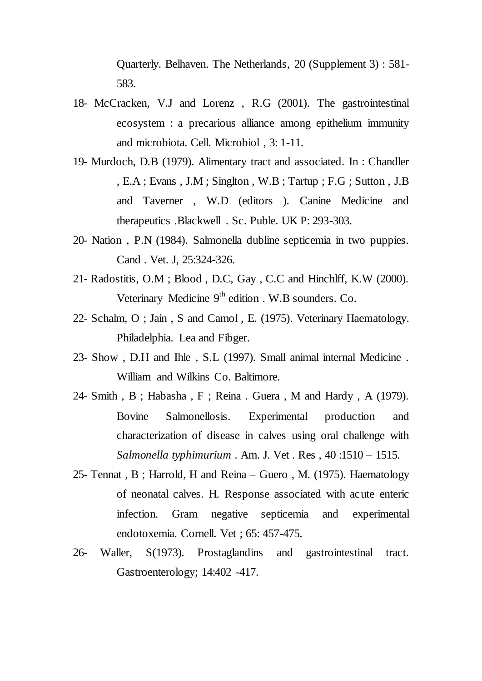Quarterly. Belhaven. The Netherlands, 20 (Supplement 3) : 581- 583.

- 18- McCracken, V.J and Lorenz , R.G (2001). The gastrointestinal ecosystem : a precarious alliance among epithelium immunity and microbiota. Cell. Microbiol , 3: 1-11.
- 19- Murdoch, D.B (1979). Alimentary tract and associated. In : Chandler , E.A ; Evans , J.M ; Singlton , W.B ; Tartup ; F.G ; Sutton , J.B and Taverner , W.D (editors ). Canine Medicine and therapeutics .Blackwell . Sc. Puble. UK P: 293-303.
- 20- Nation , P.N (1984). Salmonella dubline septicemia in two puppies. Cand . Vet. J, 25:324-326.
- 21- Radostitis, O.M ; Blood , D.C, Gay , C.C and Hinchlff, K.W (2000). Veterinary Medicine  $9<sup>th</sup>$  edition . W.B sounders. Co.
- 22- Schalm, O ; Jain , S and Camol , E. (1975). Veterinary Haematology. Philadelphia. Lea and Fibger.
- 23- Show , D.H and Ihle , S.L (1997). Small animal internal Medicine . William and Wilkins Co. Baltimore.
- 24- Smith , B ; Habasha , F ; Reina . Guera , M and Hardy , A (1979). Bovine Salmonellosis. Experimental production and characterization of disease in calves using oral challenge with *Salmonella typhimurium* . Am. J. Vet . Res , 40 :1510 – 1515.
- 25- Tennat , B ; Harrold, H and Reina Guero , M. (1975). Haematology of neonatal calves. H. Response associated with acute enteric infection. Gram negative septicemia and experimental endotoxemia. Cornell. Vet ; 65: 457-475.
- 26- Waller, S(1973). Prostaglandins and gastrointestinal tract. Gastroenterology; 14:402 -417.